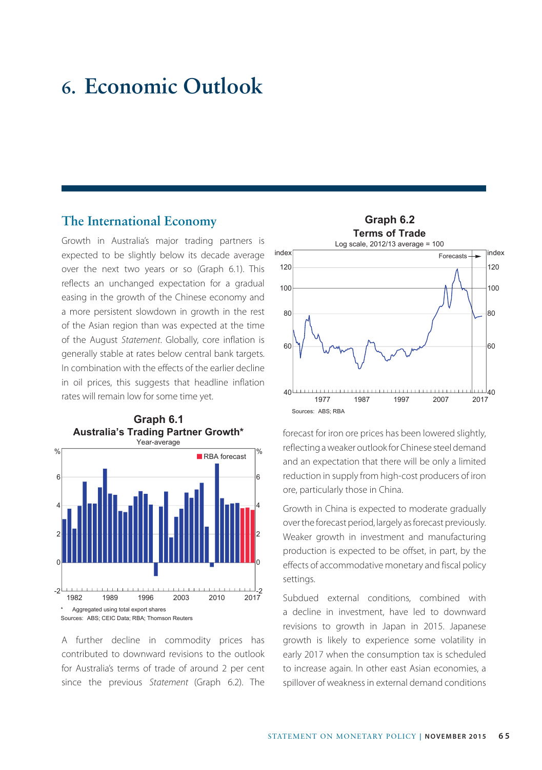# **6. Economic Outlook**

### **The International Economy**

Growth in Australia's major trading partners is expected to be slightly below its decade average over the next two years or so (Graph 6.1). This reflects an unchanged expectation for a gradual easing in the growth of the Chinese economy and a more persistent slowdown in growth in the rest of the Asian region than was expected at the time of the August *Statement*. Globally, core inflation is generally stable at rates below central bank targets. In combination with the effects of the earlier decline in oil prices, this suggests that headline inflation rates will remain low for some time yet.



A further decline in commodity prices has contributed to downward revisions to the outlook for Australia's terms of trade of around 2 per cent since the previous *Statement* (Graph 6.2). The



forecast for iron ore prices has been lowered slightly, reflecting a weaker outlook for Chinese steel demand and an expectation that there will be only a limited reduction in supply from high-cost producers of iron ore, particularly those in China.

Growth in China is expected to moderate gradually over the forecast period, largely as forecast previously. Weaker growth in investment and manufacturing production is expected to be offset, in part, by the effects of accommodative monetary and fiscal policy settings.

Subdued external conditions, combined with a decline in investment, have led to downward revisions to growth in Japan in 2015. Japanese growth is likely to experience some volatility in early 2017 when the consumption tax is scheduled to increase again. In other east Asian economies, a spillover of weakness in external demand conditions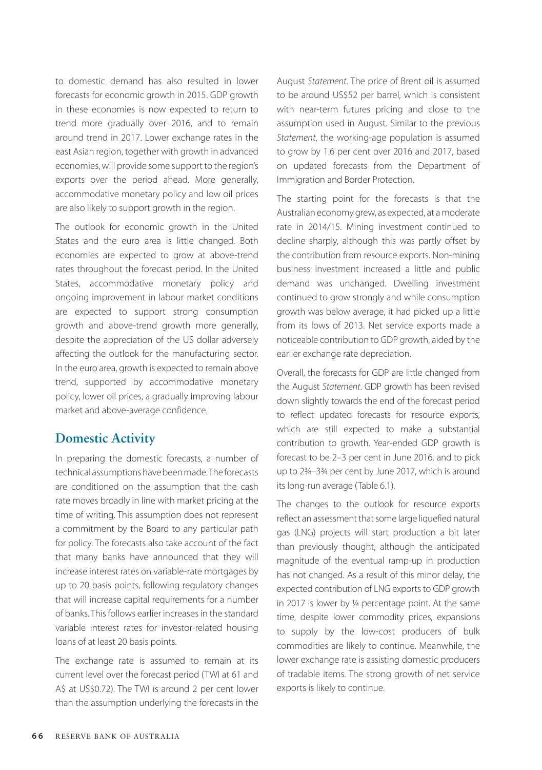to domestic demand has also resulted in lower forecasts for economic growth in 2015. GDP growth in these economies is now expected to return to trend more gradually over 2016, and to remain around trend in 2017. Lower exchange rates in the east Asian region, together with growth in advanced economies, will provide some support to the region's exports over the period ahead. More generally, accommodative monetary policy and low oil prices are also likely to support growth in the region.

The outlook for economic growth in the United States and the euro area is little changed. Both economies are expected to grow at above-trend rates throughout the forecast period. In the United States, accommodative monetary policy and ongoing improvement in labour market conditions are expected to support strong consumption growth and above-trend growth more generally, despite the appreciation of the US dollar adversely affecting the outlook for the manufacturing sector. In the euro area, growth is expected to remain above trend, supported by accommodative monetary policy, lower oil prices, a gradually improving labour market and above-average confidence.

# **Domestic Activity**

In preparing the domestic forecasts, a number of technical assumptions have been made. The forecasts are conditioned on the assumption that the cash rate moves broadly in line with market pricing at the time of writing. This assumption does not represent a commitment by the Board to any particular path for policy. The forecasts also take account of the fact that many banks have announced that they will increase interest rates on variable-rate mortgages by up to 20 basis points, following regulatory changes that will increase capital requirements for a number of banks. This follows earlier increases in the standard variable interest rates for investor-related housing loans of at least 20 basis points.

The exchange rate is assumed to remain at its current level over the forecast period (TWI at 61 and A\$ at US\$0.72). The TWI is around 2 per cent lower than the assumption underlying the forecasts in the August *Statement*. The price of Brent oil is assumed to be around US\$52 per barrel, which is consistent with near-term futures pricing and close to the assumption used in August. Similar to the previous *Statement*, the working-age population is assumed to grow by 1.6 per cent over 2016 and 2017, based on updated forecasts from the Department of Immigration and Border Protection.

The starting point for the forecasts is that the Australian economy grew, as expected, at a moderate rate in 2014/15. Mining investment continued to decline sharply, although this was partly offset by the contribution from resource exports. Non-mining business investment increased a little and public demand was unchanged. Dwelling investment continued to grow strongly and while consumption growth was below average, it had picked up a little from its lows of 2013. Net service exports made a noticeable contribution to GDP growth, aided by the earlier exchange rate depreciation.

Overall, the forecasts for GDP are little changed from the August *Statement*. GDP growth has been revised down slightly towards the end of the forecast period to reflect updated forecasts for resource exports, which are still expected to make a substantial contribution to growth. Year-ended GDP growth is forecast to be 2–3 per cent in June 2016, and to pick up to 2¾–3¾ per cent by June 2017, which is around its long-run average (Table 6.1).

The changes to the outlook for resource exports reflect an assessment that some large liquefied natural gas (LNG) projects will start production a bit later than previously thought, although the anticipated magnitude of the eventual ramp-up in production has not changed. As a result of this minor delay, the expected contribution of LNG exports to GDP growth in 2017 is lower by ¼ percentage point. At the same time, despite lower commodity prices, expansions to supply by the low-cost producers of bulk commodities are likely to continue. Meanwhile, the lower exchange rate is assisting domestic producers of tradable items. The strong growth of net service exports is likely to continue.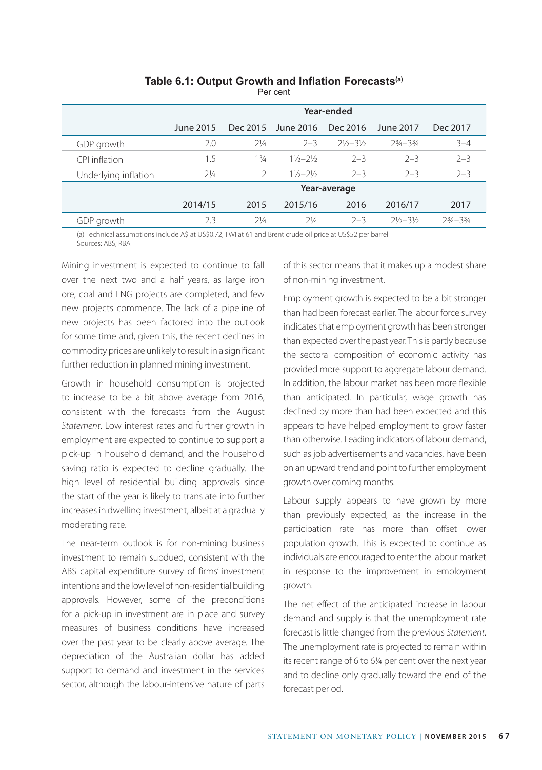### **Table 6.1: Output Growth and Inflation Forecasts(a)**

Per cent

|                      | Year-ended     |                |                             |                             |               |               |
|----------------------|----------------|----------------|-----------------------------|-----------------------------|---------------|---------------|
|                      | June 2015      | Dec 2015       | June 2016                   | Dec 2016                    | June 2017     | Dec 2017      |
| GDP growth           | 2.0            | $2\frac{1}{4}$ | $2 - 3$                     | $2\frac{1}{2}-3\frac{1}{2}$ | $23/4 - 33/4$ | $3 - 4$       |
| CPI inflation        | 1.5            | $1\frac{3}{4}$ | $11/2 - 21/2$               | $2 - 3$                     | $2 - 3$       | $2 - 3$       |
| Underlying inflation | $2\frac{1}{4}$ | $\mathcal{P}$  | $1\frac{1}{2}-2\frac{1}{2}$ | $2 - 3$                     | $2 - 3$       | $2 - 3$       |
|                      | Year-average   |                |                             |                             |               |               |
|                      | 2014/15        | 2015           | 2015/16                     | 2016                        | 2016/17       | 2017          |
| GDP growth           | 2.3            | $7\frac{1}{4}$ | $7\frac{1}{4}$              | $2 - 3$                     | $21/2 - 31/2$ | $23/4 - 33/4$ |

(a) Technical assumptions include A\$ at US\$0.72, TWI at 61 and Brent crude oil price at US\$52 per barrel Sources: ABS; RBA

Mining investment is expected to continue to fall over the next two and a half years, as large iron ore, coal and LNG projects are completed, and few new projects commence. The lack of a pipeline of new projects has been factored into the outlook for some time and, given this, the recent declines in commodity prices are unlikely to result in a significant further reduction in planned mining investment.

Growth in household consumption is projected to increase to be a bit above average from 2016, consistent with the forecasts from the August *Statement*. Low interest rates and further growth in employment are expected to continue to support a pick-up in household demand, and the household saving ratio is expected to decline gradually. The high level of residential building approvals since the start of the year is likely to translate into further increases in dwelling investment, albeit at a gradually moderating rate.

The near-term outlook is for non-mining business investment to remain subdued, consistent with the ABS capital expenditure survey of firms' investment intentions and the low level of non-residential building approvals. However, some of the preconditions for a pick-up in investment are in place and survey measures of business conditions have increased over the past year to be clearly above average. The depreciation of the Australian dollar has added support to demand and investment in the services sector, although the labour-intensive nature of parts of this sector means that it makes up a modest share of non-mining investment.

Employment growth is expected to be a bit stronger than had been forecast earlier. The labour force survey indicates that employment growth has been stronger than expected over the past year. This is partly because the sectoral composition of economic activity has provided more support to aggregate labour demand. In addition, the labour market has been more flexible than anticipated. In particular, wage growth has declined by more than had been expected and this appears to have helped employment to grow faster than otherwise. Leading indicators of labour demand, such as job advertisements and vacancies, have been on an upward trend and point to further employment growth over coming months.

Labour supply appears to have grown by more than previously expected, as the increase in the participation rate has more than offset lower population growth. This is expected to continue as individuals are encouraged to enter the labour market in response to the improvement in employment growth.

The net effect of the anticipated increase in labour demand and supply is that the unemployment rate forecast is little changed from the previous *Statement*. The unemployment rate is projected to remain within its recent range of 6 to 6¼ per cent over the next year and to decline only gradually toward the end of the forecast period.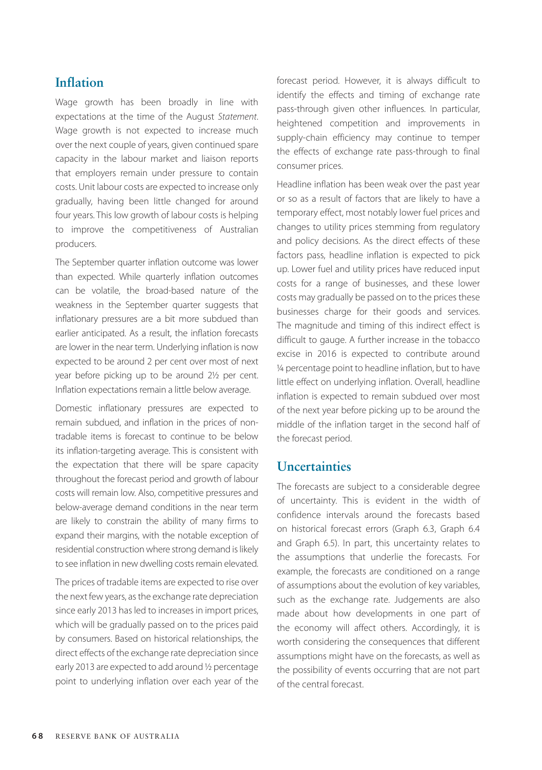# **Inflation**

Wage growth has been broadly in line with expectations at the time of the August *Statement*. Wage growth is not expected to increase much over the next couple of years, given continued spare capacity in the labour market and liaison reports that employers remain under pressure to contain costs. Unit labour costs are expected to increase only gradually, having been little changed for around four years. This low growth of labour costs is helping to improve the competitiveness of Australian producers.

The September quarter inflation outcome was lower than expected. While quarterly inflation outcomes can be volatile, the broad-based nature of the weakness in the September quarter suggests that inflationary pressures are a bit more subdued than earlier anticipated. As a result, the inflation forecasts are lower in the near term. Underlying inflation is now expected to be around 2 per cent over most of next year before picking up to be around 2½ per cent. Inflation expectations remain a little below average.

Domestic inflationary pressures are expected to remain subdued, and inflation in the prices of nontradable items is forecast to continue to be below its inflation-targeting average. This is consistent with the expectation that there will be spare capacity throughout the forecast period and growth of labour costs will remain low. Also, competitive pressures and below-average demand conditions in the near term are likely to constrain the ability of many firms to expand their margins, with the notable exception of residential construction where strong demand is likely to see inflation in new dwelling costs remain elevated.

The prices of tradable items are expected to rise over the next few years, as the exchange rate depreciation since early 2013 has led to increases in import prices, which will be gradually passed on to the prices paid by consumers. Based on historical relationships, the direct effects of the exchange rate depreciation since early 2013 are expected to add around ½ percentage point to underlying inflation over each year of the forecast period. However, it is always difficult to identify the effects and timing of exchange rate pass-through given other influences. In particular, heightened competition and improvements in supply-chain efficiency may continue to temper the effects of exchange rate pass-through to final consumer prices.

Headline inflation has been weak over the past year or so as a result of factors that are likely to have a temporary effect, most notably lower fuel prices and changes to utility prices stemming from regulatory and policy decisions. As the direct effects of these factors pass, headline inflation is expected to pick up. Lower fuel and utility prices have reduced input costs for a range of businesses, and these lower costs may gradually be passed on to the prices these businesses charge for their goods and services. The magnitude and timing of this indirect effect is difficult to gauge. A further increase in the tobacco excise in 2016 is expected to contribute around ¼ percentage point to headline inflation, but to have little effect on underlying inflation. Overall, headline inflation is expected to remain subdued over most of the next year before picking up to be around the middle of the inflation target in the second half of the forecast period.

# **Uncertainties**

The forecasts are subject to a considerable degree of uncertainty. This is evident in the width of confidence intervals around the forecasts based on historical forecast errors (Graph 6.3, Graph 6.4 and Graph 6.5). In part, this uncertainty relates to the assumptions that underlie the forecasts. For example, the forecasts are conditioned on a range of assumptions about the evolution of key variables, such as the exchange rate. Judgements are also made about how developments in one part of the economy will affect others. Accordingly, it is worth considering the consequences that different assumptions might have on the forecasts, as well as the possibility of events occurring that are not part of the central forecast.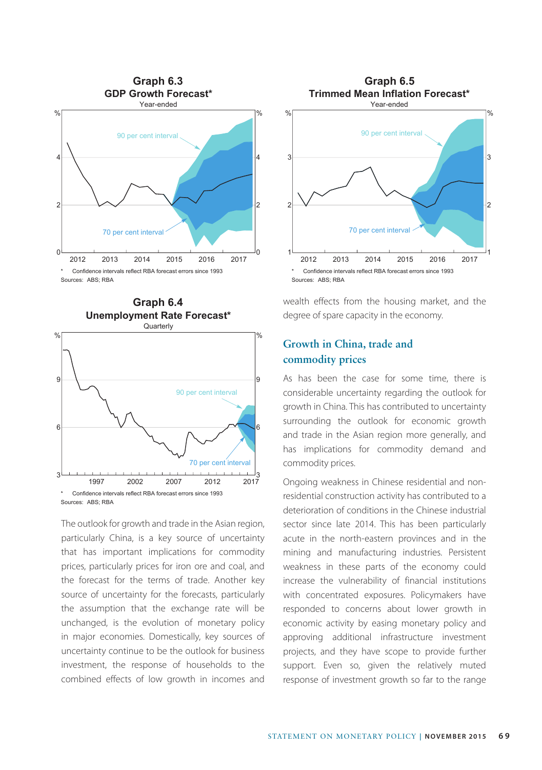



The outlook for growth and trade in the Asian region, particularly China, is a key source of uncertainty that has important implications for commodity prices, particularly prices for iron ore and coal, and the forecast for the terms of trade. Another key source of uncertainty for the forecasts, particularly the assumption that the exchange rate will be unchanged, is the evolution of monetary policy in major economies. Domestically, key sources of uncertainty continue to be the outlook for business investment, the response of households to the combined effects of low growth in incomes and



wealth effects from the housing market, and the degree of spare capacity in the economy.

## **Growth in China, trade and commodity prices**

As has been the case for some time, there is considerable uncertainty regarding the outlook for growth in China. This has contributed to uncertainty surrounding the outlook for economic growth and trade in the Asian region more generally, and has implications for commodity demand and commodity prices.

Ongoing weakness in Chinese residential and nonresidential construction activity has contributed to a deterioration of conditions in the Chinese industrial sector since late 2014. This has been particularly acute in the north-eastern provinces and in the mining and manufacturing industries. Persistent weakness in these parts of the economy could increase the vulnerability of financial institutions with concentrated exposures. Policymakers have responded to concerns about lower growth in economic activity by easing monetary policy and approving additional infrastructure investment projects, and they have scope to provide further support. Even so, given the relatively muted response of investment growth so far to the range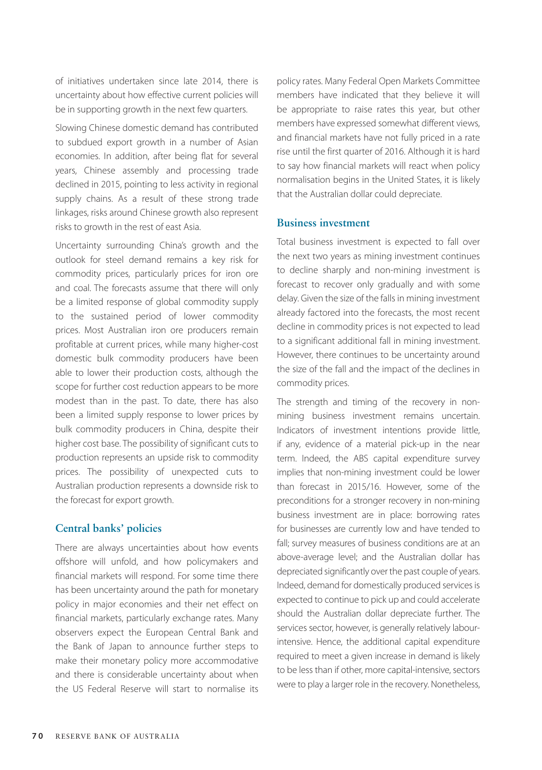of initiatives undertaken since late 2014, there is uncertainty about how effective current policies will be in supporting growth in the next few quarters.

Slowing Chinese domestic demand has contributed to subdued export growth in a number of Asian economies. In addition, after being flat for several years, Chinese assembly and processing trade declined in 2015, pointing to less activity in regional supply chains. As a result of these strong trade linkages, risks around Chinese growth also represent risks to growth in the rest of east Asia.

Uncertainty surrounding China's growth and the outlook for steel demand remains a key risk for commodity prices, particularly prices for iron ore and coal. The forecasts assume that there will only be a limited response of global commodity supply to the sustained period of lower commodity prices. Most Australian iron ore producers remain profitable at current prices, while many higher-cost domestic bulk commodity producers have been able to lower their production costs, although the scope for further cost reduction appears to be more modest than in the past. To date, there has also been a limited supply response to lower prices by bulk commodity producers in China, despite their higher cost base. The possibility of significant cuts to production represents an upside risk to commodity prices. The possibility of unexpected cuts to Australian production represents a downside risk to the forecast for export growth.

#### **Central banks' policies**

There are always uncertainties about how events offshore will unfold, and how policymakers and financial markets will respond. For some time there has been uncertainty around the path for monetary policy in major economies and their net effect on financial markets, particularly exchange rates. Many observers expect the European Central Bank and the Bank of Japan to announce further steps to make their monetary policy more accommodative and there is considerable uncertainty about when the US Federal Reserve will start to normalise its policy rates. Many Federal Open Markets Committee members have indicated that they believe it will be appropriate to raise rates this year, but other members have expressed somewhat different views, and financial markets have not fully priced in a rate rise until the first quarter of 2016. Although it is hard to say how financial markets will react when policy normalisation begins in the United States, it is likely that the Australian dollar could depreciate.

#### **Business investment**

Total business investment is expected to fall over the next two years as mining investment continues to decline sharply and non-mining investment is forecast to recover only gradually and with some delay. Given the size of the falls in mining investment already factored into the forecasts, the most recent decline in commodity prices is not expected to lead to a significant additional fall in mining investment. However, there continues to be uncertainty around the size of the fall and the impact of the declines in commodity prices.

The strength and timing of the recovery in nonmining business investment remains uncertain. Indicators of investment intentions provide little, if any, evidence of a material pick-up in the near term. Indeed, the ABS capital expenditure survey implies that non-mining investment could be lower than forecast in 2015/16. However, some of the preconditions for a stronger recovery in non-mining business investment are in place: borrowing rates for businesses are currently low and have tended to fall; survey measures of business conditions are at an above-average level; and the Australian dollar has depreciated significantly over the past couple of years. Indeed, demand for domestically produced services is expected to continue to pick up and could accelerate should the Australian dollar depreciate further. The services sector, however, is generally relatively labourintensive. Hence, the additional capital expenditure required to meet a given increase in demand is likely to be less than if other, more capital-intensive, sectors were to play a larger role in the recovery. Nonetheless,